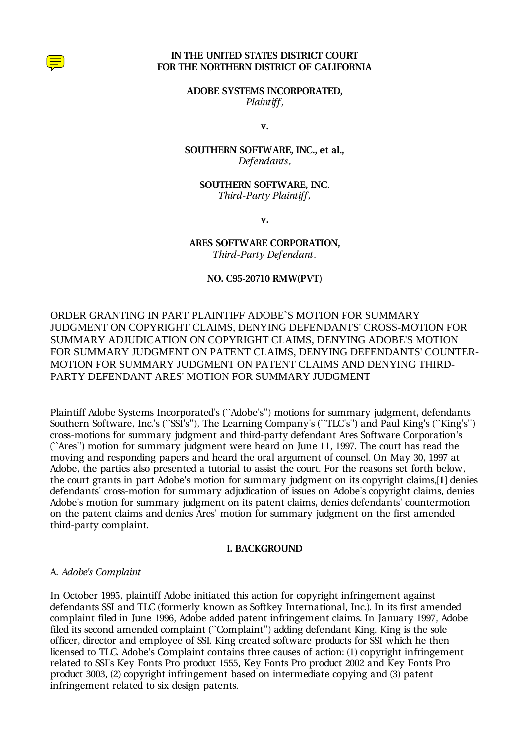

#### **IN THE UNITED STATES DISTRICT COURT FOR THE NORTHERN DISTRICT OF CALIFORNIA**

**ADOBE SYSTEMS INCORPORATED,**  *Plaintiff,*

**v.** 

### **SOUTHERN SOFTWARE, INC., et al.,**  *Defendants,*

#### **SOUTHERN SOFTWARE, INC.**  *Third-Party Plaintiff,*

**v.** 

### **ARES SOFTWARE CORPORATION,**  *Third-Party Defendant.*

### **NO. C95-20710 RMW(PVT)**

ORDER GRANTING IN PART PLAINTIFF ADOBE`S MOTION FOR SUMMARY JUDGMENT ON COPYRIGHT CLAIMS, DENYING DEFENDANTS' CROSS-MOTION FOR SUMMARY ADJUDICATION ON COPYRIGHT CLAIMS, DENYING ADOBE'S MOTION FOR SUMMARY JUDGMENT ON PATENT CLAIMS, DENYING DEFENDANTS' COUNTER-MOTION FOR SUMMARY JUDGMENT ON PATENT CLAIMS AND DENYING THIRD-PARTY DEFENDANT ARES' MOTION FOR SUMMARY JUDGMENT

Plaintiff Adobe Systems Incorporated's (``Adobe's'') motions for summary judgment, defendants Southern Software, Inc.'s (``SSI's''), The Learning Company's (``TLC's'') and Paul King's (``King's'') cross-motions for summary judgment and third-party defendant Ares Software Corporation's (``Ares'') motion for summary judgment were heard on June 11, 1997. The court has read the moving and responding papers and heard the oral argument of counsel. On May 30, 1997 at Adobe, the parties also presented a tutorial to assist the court. For the reasons set forth below, the court grants in part Adobe's motion for summary judgment on its copyright claims,**[1]** denies defendants' cross-motion for summary adjudication of issues on Adobe's copyright claims, denies Adobe's motion for summary judgment on its patent claims, denies defendants' countermotion on the patent claims and denies Ares' motion for summary judgment on the first amended third-party complaint.

#### **I. BACKGROUND**

### A. *Adobe's Complaint*

In October 1995, plaintiff Adobe initiated this action for copyright infringement against defendants SSI and TLC (formerly known as Softkey International, Inc.). In its first amended complaint filed in June 1996, Adobe added patent infringement claims. In January 1997, Adobe filed its second amended complaint ("Complaint") adding defendant King. King is the sole officer, director and employee of SSI. King created software products for SSI which he then licensed to TLC. Adobe's Complaint contains three causes of action: (1) copyright infringement related to SSI's Key Fonts Pro product 1555, Key Fonts Pro product 2002 and Key Fonts Pro product 3003, (2) copyright infringement based on intermediate copying and (3) patent infringement related to six design patents.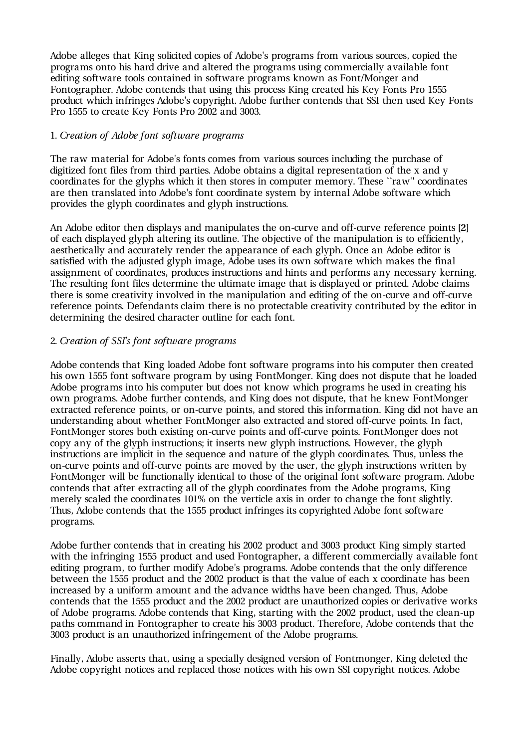Adobe alleges that King solicited copies of Adobe's programs from various sources, copied the programs onto his hard drive and altered the programs using commercially available font editing software tools contained in software programs known as Font/Monger and Fontographer. Adobe contends that using this process King created his Key Fonts Pro 1555 product which infringes Adobe's copyright. Adobe further contends that SSI then used Key Fonts Pro 1555 to create Key Fonts Pro 2002 and 3003.

## 1. *Creation of Adobe font software programs*

The raw material for Adobe's fonts comes from various sources including the purchase of digitized font files from third parties. Adobe obtains a digital representation of the x and y coordinates for the glyphs which it then stores in computer memory. These ``raw'' coordinates are then translated into Adobe's font coordinate system by internal Adobe software which provides the glyph coordinates and glyph instructions.

An Adobe editor then displays and manipulates the on-curve and off-curve reference points **[2]** of each displayed glyph altering its outline. The objective of the manipulation is to efficiently, aesthetically and accurately render the appearance of each glyph. Once an Adobe editor is satisfied with the adjusted glyph image, Adobe uses its own software which makes the final assignment of coordinates, produces instructions and hints and performs any necessary kerning. The resulting font files determine the ultimate image that is displayed or printed. Adobe claims there is some creativity involved in the manipulation and editing of the on-curve and off-curve reference points. Defendants claim there is no protectable creativity contributed by the editor in determining the desired character outline for each font.

# 2. *Creation of SSI's font software programs*

Adobe contends that King loaded Adobe font software programs into his computer then created his own 1555 font software program by using FontMonger. King does not dispute that he loaded Adobe programs into his computer but does not know which programs he used in creating his own programs. Adobe further contends, and King does not dispute, that he knew FontMonger extracted reference points, or on-curve points, and stored this information. King did not have an understanding about whether FontMonger also extracted and stored off-curve points. In fact, FontMonger stores both existing on-curve points and off-curve points. FontMonger does not copy any of the glyph instructions; it inserts new glyph instructions. However, the glyph instructions are implicit in the sequence and nature of the glyph coordinates. Thus, unless the on-curve points and off-curve points are moved by the user, the glyph instructions written by FontMonger will be functionally identical to those of the original font software program. Adobe contends that after extracting all of the glyph coordinates from the Adobe programs, King merely scaled the coordinates 101% on the verticle axis in order to change the font slightly. Thus, Adobe contends that the 1555 product infringes its copyrighted Adobe font software programs.

Adobe further contends that in creating his 2002 product and 3003 product King simply started with the infringing 1555 product and used Fontographer, a different commercially available font editing program, to further modify Adobe's programs. Adobe contends that the only difference between the 1555 product and the 2002 product is that the value of each x coordinate has been increased by a uniform amount and the advance widths have been changed. Thus, Adobe contends that the 1555 product and the 2002 product are unauthorized copies or derivative works of Adobe programs. Adobe contends that King, starting with the 2002 product, used the clean-up paths command in Fontographer to create his 3003 product. Therefore, Adobe contends that the 3003 product is an unauthorized infringement of the Adobe programs.

Finally, Adobe asserts that, using a specially designed version of Fontmonger, King deleted the Adobe copyright notices and replaced those notices with his own SSI copyright notices. Adobe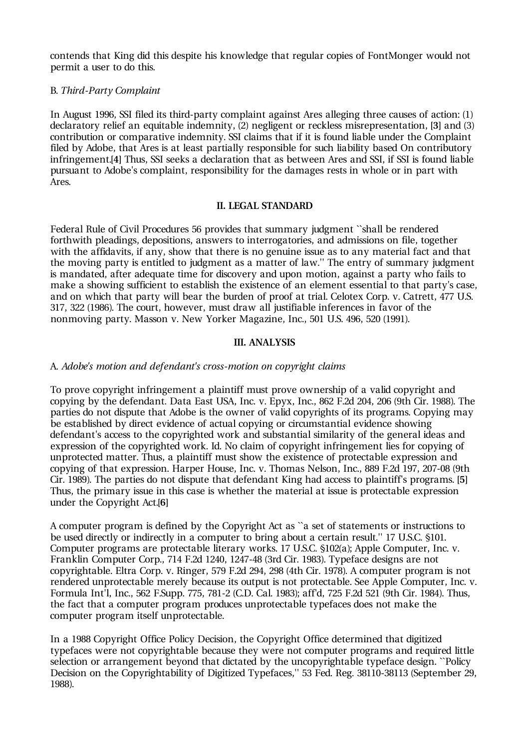contends that King did this despite his knowledge that regular copies of FontMonger would not permit a user to do this.

#### B. *Third-Party Complaint*

In August 1996, SSI filed its third-party complaint against Ares alleging three causes of action: (1) declaratory relief an equitable indemnity, (2) negligent or reckless misrepresentation, **[3]** and (3) contribution or comparative indemnity. SSI claims that if it is found liable under the Complaint filed by Adobe, that Ares is at least partially responsible for such liability based On contributory infringement.**[4]** Thus, SSI seeks a declaration that as between Ares and SSI, if SSI is found liable pursuant to Adobe's complaint, responsibility for the damages rests in whole or in part with Ares.

#### **II. LEGAL STANDARD**

Federal Rule of Civil Procedures 56 provides that summary judgment ``shall be rendered forthwith pleadings, depositions, answers to interrogatories, and admissions on file, together with the affidavits, if any, show that there is no genuine issue as to any material fact and that the moving party is entitled to judgment as a matter of law.'' The entry of summary judgment is mandated, after adequate time for discovery and upon motion, against a party who fails to make a showing sufficient to establish the existence of an element essential to that party's case, and on which that party will bear the burden of proof at trial. Celotex Corp. v. Catrett, 477 U.S. 317, 322 (1986). The court, however, must draw all justifiable inferences in favor of the nonmoving party. Masson v. New Yorker Magazine, Inc., 501 U.S. 496, 520 (1991).

### **III. ANALYSIS**

### A. *Adobe's motion and defendant's cross-motion on copyright claims*

To prove copyright infringement a plaintiff must prove ownership of a valid copyright and copying by the defendant. Data East USA, Inc. v. Epyx, Inc., 862 F.2d 204, 206 (9th Cir. 1988). The parties do not dispute that Adobe is the owner of valid copyrights of its programs. Copying may be established by direct evidence of actual copying or circumstantial evidence showing defendant's access to the copyrighted work and substantial similarity of the general ideas and expression of the copyrighted work. Id. No claim of copyright infringement lies for copying of unprotected matter. Thus, a plaintiff must show the existence of protectable expression and copying of that expression. Harper House, Inc. v. Thomas Nelson, Inc., 889 F.2d 197, 207-08 (9th Cir. 1989). The parties do not dispute that defendant King had access to plaintiff's programs. **[5]** Thus, the primary issue in this case is whether the material at issue is protectable expression under the Copyright Act.**[6]**

A computer program is defined by the Copyright Act as ``a set of statements or instructions to be used directly or indirectly in a computer to bring about a certain result.'' 17 U.S.C. §101. Computer programs are protectable literary works. 17 U.S.C. §102(a); Apple Computer, Inc. v. Franklin Computer Corp., 714 F.2d 1240, 1247-48 (3rd Cir. 1983). Typeface designs are not copyrightable. Eltra Corp. v. Ringer, 579 F.2d 294, 298 (4th Cir. 1978). A computer program is not rendered unprotectable merely because its output is not protectable. See Apple Computer, Inc. v. Formula Int'l, Inc., 562 F.Supp. 775, 781-2 (C.D. Cal. 1983); aff'd, 725 F.2d 521 (9th Cir. 1984). Thus, the fact that a computer program produces unprotectable typefaces does not make the computer program itself unprotectable.

In a 1988 Copyright Office Policy Decision, the Copyright Office determined that digitized typefaces were not copyrightable because they were not computer programs and required little selection or arrangement beyond that dictated by the uncopyrightable typeface design. ``Policy Decision on the Copyrightability of Digitized Typefaces,'' 53 Fed. Reg. 38110-38113 (September 29, 1988).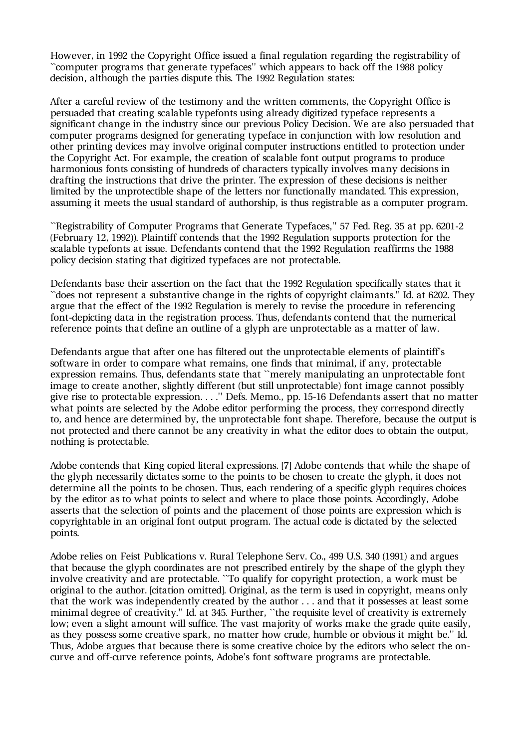However, in 1992 the Copyright Office issued a final regulation regarding the registrability of ``computer programs that generate typefaces'' which appears to back off the 1988 policy decision, although the parties dispute this. The 1992 Regulation states:

After a careful review of the testimony and the written comments, the Copyright Office is persuaded that creating scalable typefonts using already digitized typeface represents a significant change in the industry since our previous Policy Decision. We are also persuaded that computer programs designed for generating typeface in conjunction with low resolution and other printing devices may involve original computer instructions entitled to protection under the Copyright Act. For example, the creation of scalable font output programs to produce harmonious fonts consisting of hundreds of characters typically involves many decisions in drafting the instructions that drive the printer. The expression of these decisions is neither limited by the unprotectible shape of the letters nor functionally mandated. This expression, assuming it meets the usual standard of authorship, is thus registrable as a computer program.

``Registrability of Computer Programs that Generate Typefaces,'' 57 Fed. Reg. 35 at pp. 6201-2 (February 12, 1992)). Plaintiff contends that the 1992 Regulation supports protection for the scalable typefonts at issue. Defendants contend that the 1992 Regulation reaffirms the 1988 policy decision stating that digitized typefaces are not protectable.

Defendants base their assertion on the fact that the 1992 Regulation specifically states that it ``does not represent a substantive change in the rights of copyright claimants.'' Id. at 6202. They argue that the effect of the 1992 Regulation is merely to revise the procedure in referencing font-depicting data in the registration process. Thus, defendants contend that the numerical reference points that define an outline of a glyph are unprotectable as a matter of law.

Defendants argue that after one has filtered out the unprotectable elements of plaintiff's software in order to compare what remains, one finds that minimal, if any, protectable expression remains. Thus, defendants state that ``merely manipulating an unprotectable font image to create another, slightly different (but still unprotectable) font image cannot possibly give rise to protectable expression. . . .'' Defs. Memo., pp. 15-16 Defendants assert that no matter what points are selected by the Adobe editor performing the process, they correspond directly to, and hence are determined by, the unprotectable font shape. Therefore, because the output is not protected and there cannot be any creativity in what the editor does to obtain the output, nothing is protectable.

Adobe contends that King copied literal expressions. **[7]** Adobe contends that while the shape of the glyph necessarily dictates some to the points to be chosen to create the glyph, it does not determine all the points to be chosen. Thus, each rendering of a specific glyph requires choices by the editor as to what points to select and where to place those points. Accordingly, Adobe asserts that the selection of points and the placement of those points are expression which is copyrightable in an original font output program. The actual code is dictated by the selected points.

Adobe relies on Feist Publications v. Rural Telephone Serv. Co., 499 U.S. 340 (1991) and argues that because the glyph coordinates are not prescribed entirely by the shape of the glyph they involve creativity and are protectable. ``To qualify for copyright protection, a work must be original to the author. [citation omitted]. Original, as the term is used in copyright, means only that the work was independently created by the author . . . and that it possesses at least some minimal degree of creativity.'' Id. at 345. Further, ``the requisite level of creativity is extremely low; even a slight amount will suffice. The vast majority of works make the grade quite easily, as they possess some creative spark, no matter how crude, humble or obvious it might be.'' Id. Thus, Adobe argues that because there is some creative choice by the editors who select the oncurve and off-curve reference points, Adobe's font software programs are protectable.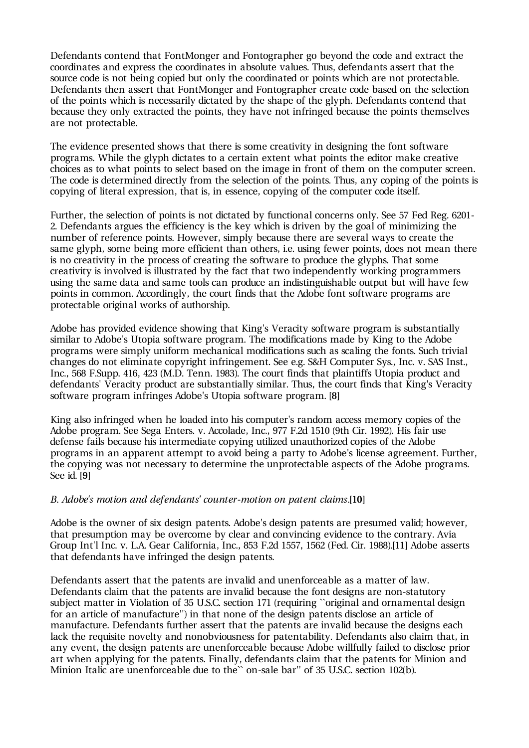Defendants contend that FontMonger and Fontographer go beyond the code and extract the coordinates and express the coordinates in absolute values. Thus, defendants assert that the source code is not being copied but only the coordinated or points which are not protectable. Defendants then assert that FontMonger and Fontographer create code based on the selection of the points which is necessarily dictated by the shape of the glyph. Defendants contend that because they only extracted the points, they have not infringed because the points themselves are not protectable.

The evidence presented shows that there is some creativity in designing the font software programs. While the glyph dictates to a certain extent what points the editor make creative choices as to what points to select based on the image in front of them on the computer screen. The code is determined directly from the selection of the points. Thus, any coping of the points is copying of literal expression, that is, in essence, copying of the computer code itself.

Further, the selection of points is not dictated by functional concerns only. See 57 Fed Reg. 6201- 2. Defendants argues the efficiency is the key which is driven by the goal of minimizing the number of reference points. However, simply because there are several ways to create the same glyph, some being more efficient than others, i.e. using fewer points, does not mean there is no creativity in the process of creating the software to produce the glyphs. That some creativity is involved is illustrated by the fact that two independently working programmers using the same data and same tools can produce an indistinguishable output but will have few points in common. Accordingly, the court finds that the Adobe font software programs are protectable original works of authorship.

Adobe has provided evidence showing that King's Veracity software program is substantially similar to Adobe's Utopia software program. The modifications made by King to the Adobe programs were simply uniform mechanical modifications such as scaling the fonts. Such trivial changes do not eliminate copyright infringement. See e.g. S&H Computer Sys., Inc. v. SAS Inst., Inc., 568 F.Supp. 416, 423 (M.D. Tenn. 1983). The court finds that plaintiffs Utopia product and defendants' Veracity product are substantially similar. Thus, the court finds that King's Veracity software program infringes Adobe's Utopia software program. **[8]**

King also infringed when he loaded into his computer's random access memory copies of the Adobe program. See Sega Enters. v. Accolade, Inc., 977 F.2d 1510 (9th Cir. 1992). His fair use defense fails because his intermediate copying utilized unauthorized copies of the Adobe programs in an apparent attempt to avoid being a party to Adobe's license agreement. Further, the copying was not necessary to determine the unprotectable aspects of the Adobe programs. See id. **[9]**

### *B. Adobe's motion and defendants' counter-motion on patent claims.***[10]**

Adobe is the owner of six design patents. Adobe's design patents are presumed valid; however, that presumption may be overcome by clear and convincing evidence to the contrary. Avia Group Int'l Inc. v. L.A. Gear California, Inc., 853 F.2d 1557, 1562 (Fed. Cir. 1988).**[11]** Adobe asserts that defendants have infringed the design patents.

Defendants assert that the patents are invalid and unenforceable as a matter of law. Defendants claim that the patents are invalid because the font designs are non-statutory subject matter in Violation of 35 U.S.C. section 171 (requiring ``original and ornamental design for an article of manufacture'') in that none of the design patents disclose an article of manufacture. Defendants further assert that the patents are invalid because the designs each lack the requisite novelty and nonobviousness for patentability. Defendants also claim that, in any event, the design patents are unenforceable because Adobe willfully failed to disclose prior art when applying for the patents. Finally, defendants claim that the patents for Minion and Minion Italic are unenforceable due to the`` on-sale bar'' of 35 U.S.C. section 102(b).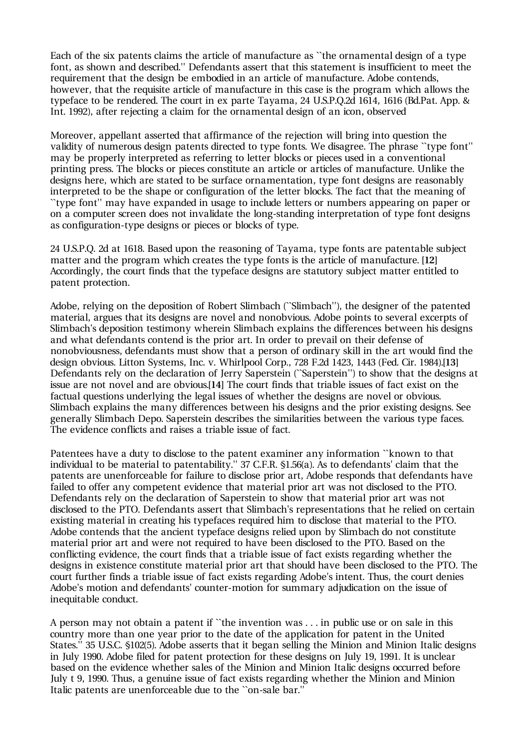Each of the six patents claims the article of manufacture as ``the ornamental design of a type font, as shown and described.'' Defendants assert that this statement is insufficient to meet the requirement that the design be embodied in an article of manufacture. Adobe contends, however, that the requisite article of manufacture in this case is the program which allows the typeface to be rendered. The court in ex parte Tayama, 24 U.S.P.Q.2d 1614, 1616 (Bd.Pat. App. & Int. 1992), after rejecting a claim for the ornamental design of an icon, observed

Moreover, appellant asserted that affirmance of the rejection will bring into question the validity of numerous design patents directed to type fonts. We disagree. The phrase ``type font'' may be properly interpreted as referring to letter blocks or pieces used in a conventional printing press. The blocks or pieces constitute an article or articles of manufacture. Unlike the designs here, which are stated to be surface ornamentation, type font designs are reasonably interpreted to be the shape or configuration of the letter blocks. The fact that the meaning of ``type font'' may have expanded in usage to include letters or numbers appearing on paper or on a computer screen does not invalidate the long-standing interpretation of type font designs as configuration-type designs or pieces or blocks of type.

24 U.S.P.Q. 2d at 1618. Based upon the reasoning of Tayama, type fonts are patentable subject matter and the program which creates the type fonts is the article of manufacture. **[12]** Accordingly, the court finds that the typeface designs are statutory subject matter entitled to patent protection.

Adobe, relying on the deposition of Robert Slimbach (``Slimbach''), the designer of the patented material, argues that its designs are novel and nonobvious. Adobe points to several excerpts of Slimbach's deposition testimony wherein Slimbach explains the differences between his designs and what defendants contend is the prior art. In order to prevail on their defense of nonobviousness, defendants must show that a person of ordinary skill in the art would find the design obvious. Litton Systems, Inc. v. Whirlpool Corp., 728 F.2d 1423, 1443 (Fed. Cir. 1984).**[13]** Defendants rely on the declaration of Jerry Saperstein (``Saperstein'') to show that the designs at issue are not novel and are obvious.**[14]** The court finds that triable issues of fact exist on the factual questions underlying the legal issues of whether the designs are novel or obvious. Slimbach explains the many differences between his designs and the prior existing designs. See generally Slimbach Depo. Saperstein describes the similarities between the various type faces. The evidence conflicts and raises a triable issue of fact.

Patentees have a duty to disclose to the patent examiner any information ``known to that individual to be material to patentability.'' 37 C.F.R. §1.56(a). As to defendants' claim that the patents are unenforceable for failure to disclose prior art, Adobe responds that defendants have failed to offer any competent evidence that material prior art was not disclosed to the PTO. Defendants rely on the declaration of Saperstein to show that material prior art was not disclosed to the PTO. Defendants assert that Slimbach's representations that he relied on certain existing material in creating his typefaces required him to disclose that material to the PTO. Adobe contends that the ancient typeface designs relied upon by Slimbach do not constitute material prior art and were not required to have been disclosed to the PTO. Based on the conflicting evidence, the court finds that a triable issue of fact exists regarding whether the designs in existence constitute material prior art that should have been disclosed to the PTO. The court further finds a triable issue of fact exists regarding Adobe's intent. Thus, the court denies Adobe's motion and defendants' counter-motion for summary adjudication on the issue of inequitable conduct.

A person may not obtain a patent if ``the invention was . . . in public use or on sale in this country more than one year prior to the date of the application for patent in the United States.'' 35 U.S.C. §102(5). Adobe asserts that it began selling the Minion and Minion Italic designs in July 1990. Adobe filed for patent protection for these designs on July 19, 1991. It is unclear based on the evidence whether sales of the Minion and Minion Italic designs occurred before July t 9, 1990. Thus, a genuine issue of fact exists regarding whether the Minion and Minion Italic patents are unenforceable due to the ``on-sale bar.''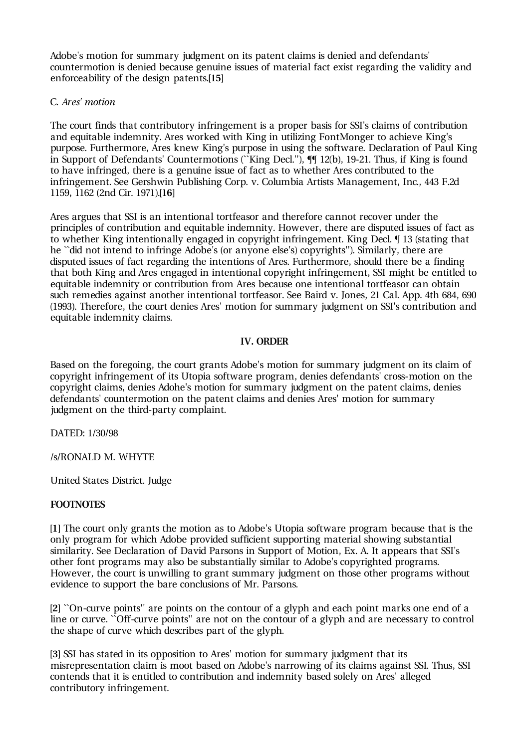Adobe's motion for summary judgment on its patent claims is denied and defendants' countermotion is denied because genuine issues of material fact exist regarding the validity and enforceability of the design patents.**[15]**

### C. *Ares' motion*

The court finds that contributory infringement is a proper basis for SSI's claims of contribution and equitable indemnity. Ares worked with King in utilizing FontMonger to achieve King's purpose. Furthermore, Ares knew King's purpose in using the software. Declaration of Paul King in Support of Defendants' Countermotions ("King Decl."),  $\P$ [ 12(b), 19-21. Thus, if King is found to have infringed, there is a genuine issue of fact as to whether Ares contributed to the infringement. See Gershwin Publishing Corp. v. Columbia Artists Management, Inc., 443 F.2d 1159, 1162 (2nd Cir. 1971).**[16]**

Ares argues that SSI is an intentional tortfeasor and therefore cannot recover under the principles of contribution and equitable indemnity. However, there are disputed issues of fact as to whether King intentionally engaged in copyright infringement. King Decl. ¶ 13 (stating that he ``did not intend to infringe Adobe's (or anyone else's) copyrights''). Similarly, there are disputed issues of fact regarding the intentions of Ares. Furthermore, should there be a finding that both King and Ares engaged in intentional copyright infringement, SSI might be entitled to equitable indemnity or contribution from Ares because one intentional tortfeasor can obtain such remedies against another intentional tortfeasor. See Baird v. Jones, 21 Cal. App. 4th 684, 690 (1993). Therefore, the court denies Ares' motion for summary judgment on SSI's contribution and equitable indemnity claims.

#### **IV. ORDER**

Based on the foregoing, the court grants Adobe's motion for summary judgment on its claim of copyright infringement of its Utopia software program, denies defendants' cross-motion on the copyright claims, denies Adohe's motion for summary judgment on the patent claims, denies defendants' countermotion on the patent claims and denies Ares' motion for summary judgment on the third-party complaint.

DATED: 1/30/98

/s/RONALD M. WHYTE

United States District. Judge

### **FOOTNOTES**

**[1]** The court only grants the motion as to Adobe's Utopia software program because that is the only program for which Adobe provided sufficient supporting material showing substantial similarity. See Declaration of David Parsons in Support of Motion, Ex. A. It appears that SSI's other font programs may also be substantially similar to Adobe's copyrighted programs. However, the court is unwilling to grant summary judgment on those other programs without evidence to support the bare conclusions of Mr. Parsons.

**[2]** ``On-curve points'' are points on the contour of a glyph and each point marks one end of a line or curve. `Off-curve points'' are not on the contour of a glyph and are necessary to control the shape of curve which describes part of the glyph.

**[3]** SSI has stated in its opposition to Ares' motion for summary judgment that its misrepresentation claim is moot based on Adobe's narrowing of its claims against SSI. Thus, SSI contends that it is entitled to contribution and indemnity based solely on Ares' alleged contributory infringement.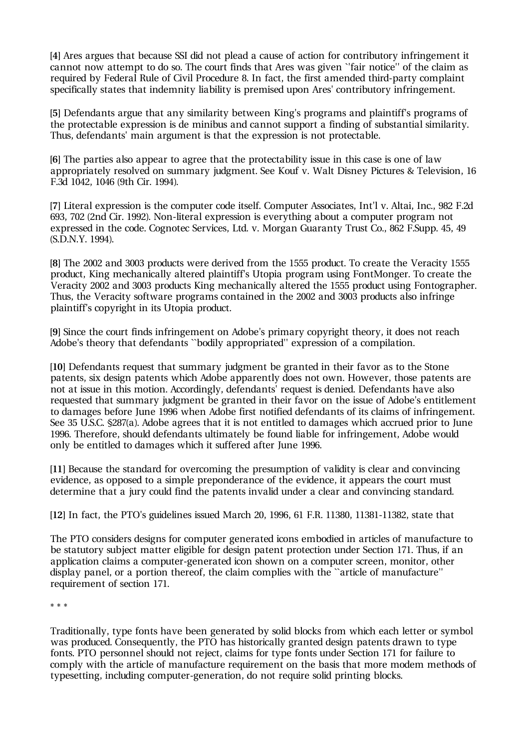**[4]** Ares argues that because SSI did not plead a cause of action for contributory infringement it cannot now attempt to do so. The court finds that Ares was given `'fair notice'' of the claim as required by Federal Rule of Civil Procedure 8. In fact, the first amended third-party complaint specifically states that indemnity liability is premised upon Ares' contributory infringement.

**[5]** Defendants argue that any similarity between King's programs and plaintiff's programs of the protectable expression is de minibus and cannot support a finding of substantial similarity. Thus, defendants' main argument is that the expression is not protectable.

**[6]** The parties also appear to agree that the protectability issue in this case is one of law appropriately resolved on summary judgment. See Kouf v. Walt Disney Pictures & Television, 16 F.3d 1042, 1046 (9th Cir. 1994).

**[7]** Literal expression is the computer code itself. Computer Associates, Int'l v. Altai, Inc., 982 F.2d 693, 702 (2nd Cir. 1992). Non-literal expression is everything about a computer program not expressed in the code. Cognotec Services, Ltd. v. Morgan Guaranty Trust Co., 862 F.Supp. 45, 49 (S.D.N.Y. 1994).

**[8]** The 2002 and 3003 products were derived from the 1555 product. To create the Veracity 1555 product, King mechanically altered plaintiff's Utopia program using FontMonger. To create the Veracity 2002 and 3003 products King mechanically altered the 1555 product using Fontographer. Thus, the Veracity software programs contained in the 2002 and 3003 products also infringe plaintiff's copyright in its Utopia product.

**[9]** Since the court finds infringement on Adobe's primary copyright theory, it does not reach Adobe's theory that defendants ``bodily appropriated'' expression of a compilation.

**[10]** Defendants request that summary judgment be granted in their favor as to the Stone patents, six design patents which Adobe apparently does not own. However, those patents are not at issue in this motion. Accordingly, defendants' request is denied. Defendants have also requested that summary judgment be granted in their favor on the issue of Adobe's entitlement to damages before June 1996 when Adobe first notified defendants of its claims of infringement. See 35 U.S.C. §287(a). Adobe agrees that it is not entitled to damages which accrued prior to June 1996. Therefore, should defendants ultimately be found liable for infringement, Adobe would only be entitled to damages which it suffered after June 1996.

**[11]** Because the standard for overcoming the presumption of validity is clear and convincing evidence, as opposed to a simple preponderance of the evidence, it appears the court must determine that a jury could find the patents invalid under a clear and convincing standard.

**[12]** In fact, the PTO's guidelines issued March 20, 1996, 61 F.R. 11380, 11381-11382, state that

The PTO considers designs for computer generated icons embodied in articles of manufacture to be statutory subject matter eligible for design patent protection under Section 171. Thus, if an application claims a computer-generated icon shown on a computer screen, monitor, other display panel, or a portion thereof, the claim complies with the ``article of manufacture'' requirement of section 171.

\* \* \*

Traditionally, type fonts have been generated by solid blocks from which each letter or symbol was produced. Consequently, the PTO has historically granted design patents drawn to type fonts. PTO personnel should not reject, claims for type fonts under Section 171 for failure to comply with the article of manufacture requirement on the basis that more modem methods of typesetting, including computer-generation, do not require solid printing blocks.